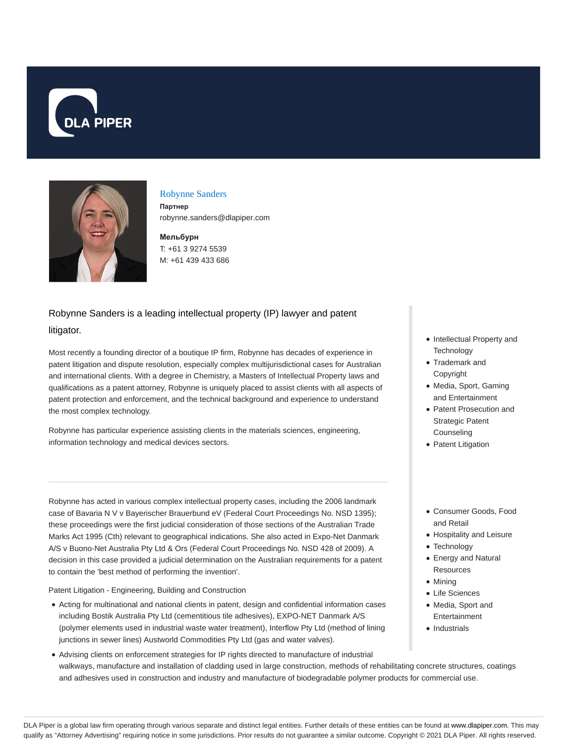



#### Robynne Sanders

**Партнер** robynne.sanders@dlapiper.com

**Мельбурн** T: +61 3 9274 5539 M: +61 439 433 686

# Robynne Sanders is a leading intellectual property (IP) lawyer and patent litigator.

Most recently a founding director of a boutique IP firm, Robynne has decades of experience in patent litigation and dispute resolution, especially complex multijurisdictional cases for Australian and international clients. With a degree in Chemistry, a Masters of Intellectual Property laws and qualifications as a patent attorney, Robynne is uniquely placed to assist clients with all aspects of patent protection and enforcement, and the technical background and experience to understand the most complex technology.

Robynne has particular experience assisting clients in the materials sciences, engineering, information technology and medical devices sectors.

Robynne has acted in various complex intellectual property cases, including the 2006 landmark case of Bavaria N V v Bayerischer Brauerbund eV (Federal Court Proceedings No. NSD 1395); these proceedings were the first judicial consideration of those sections of the Australian Trade Marks Act 1995 (Cth) relevant to geographical indications. She also acted in Expo-Net Danmark A/S v Buono-Net Australia Pty Ltd & Ors (Federal Court Proceedings No. NSD 428 of 2009). A decision in this case provided a judicial determination on the Australian requirements for a patent to contain the 'best method of performing the invention'.

Patent Litigation - Engineering, Building and Construction

- Acting for multinational and national clients in patent, design and confidential information cases including Bostik Australia Pty Ltd (cementitious tile adhesives), EXPO-NET Danmark A/S (polymer elements used in industrial waste water treatment), Interflow Pty Ltd (method of lining junctions in sewer lines) Austworld Commodities Pty Ltd (gas and water valves).
- Advising clients on enforcement strategies for IP rights directed to manufacture of industrial walkways, manufacture and installation of cladding used in large construction, methods of rehabilitating concrete structures, coatings and adhesives used in construction and industry and manufacture of biodegradable polymer products for commercial use.
- Intellectual Property and **Technology**
- Trademark and Copyright
- Media, Sport, Gaming and Entertainment
- Patent Prosecution and Strategic Patent **Counseling**
- Patent Litigation
- Consumer Goods, Food and Retail
- Hospitality and Leisure
- Technology
- Energy and Natural **Resources**
- Mining
- Life Sciences
- Media, Sport and Entertainment
- Industrials

DLA Piper is a global law firm operating through various separate and distinct legal entities. Further details of these entities can be found at www.dlapiper.com. This may qualify as "Attorney Advertising" requiring notice in some jurisdictions. Prior results do not guarantee a similar outcome. Copyright @ 2021 DLA Piper. All rights reserved.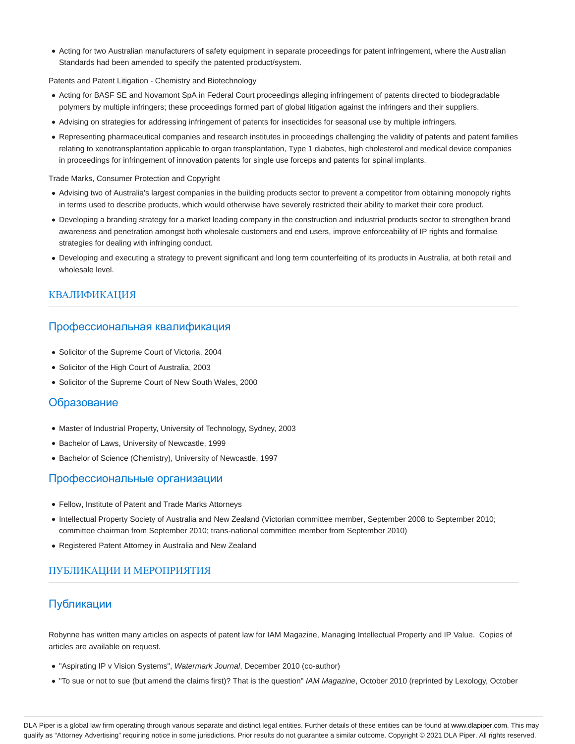Acting for two Australian manufacturers of safety equipment in separate proceedings for patent infringement, where the Australian Standards had been amended to specify the patented product/system.

Patents and Patent Litigation - Chemistry and Biotechnology

- Acting for BASF SE and Novamont SpA in Federal Court proceedings alleging infringement of patents directed to biodegradable polymers by multiple infringers; these proceedings formed part of global litigation against the infringers and their suppliers.
- Advising on strategies for addressing infringement of patents for insecticides for seasonal use by multiple infringers.
- Representing pharmaceutical companies and research institutes in proceedings challenging the validity of patents and patent families relating to xenotransplantation applicable to organ transplantation, Type 1 diabetes, high cholesterol and medical device companies in proceedings for infringement of innovation patents for single use forceps and patents for spinal implants.

Trade Marks, Consumer Protection and Copyright

- Advising two of Australia's largest companies in the building products sector to prevent a competitor from obtaining monopoly rights in terms used to describe products, which would otherwise have severely restricted their ability to market their core product.
- Developing a branding strategy for a market leading company in the construction and industrial products sector to strengthen brand awareness and penetration amongst both wholesale customers and end users, improve enforceability of IP rights and formalise strategies for dealing with infringing conduct.
- Developing and executing a strategy to prevent significant and long term counterfeiting of its products in Australia, at both retail and wholesale level.

### КВАЛИФИКАЦИЯ

#### Профессиональная квалификация

- Solicitor of the Supreme Court of Victoria, 2004
- Solicitor of the High Court of Australia, 2003
- Solicitor of the Supreme Court of New South Wales, 2000

#### Образование

- Master of Industrial Property, University of Technology, Sydney, 2003
- Bachelor of Laws, University of Newcastle, 1999
- Bachelor of Science (Chemistry), University of Newcastle, 1997

### Профессиональные организации

- Fellow, Institute of Patent and Trade Marks Attorneys
- Intellectual Property Society of Australia and New Zealand (Victorian committee member, September 2008 to September 2010; committee chairman from September 2010; trans-national committee member from September 2010)
- Registered Patent Attorney in Australia and New Zealand

## ПУБЛИКАЦИИ И МЕРОПРИЯТИЯ

## Публикации

Robynne has written many articles on aspects of patent law for IAM Magazine, Managing Intellectual Property and IP Value. Copies of articles are available on request.

- "Aspirating IP v Vision Systems", Watermark Journal, December 2010 (co-author)
- . "To sue or not to sue (but amend the claims first)? That is the question" IAM Magazine, October 2010 (reprinted by Lexology, October

DLA Piper is a global law firm operating through various separate and distinct legal entities. Further details of these entities can be found at www.dlapiper.com. This may qualify as "Attorney Advertising" requiring notice in some jurisdictions. Prior results do not guarantee a similar outcome. Copyright @ 2021 DLA Piper. All rights reserved.